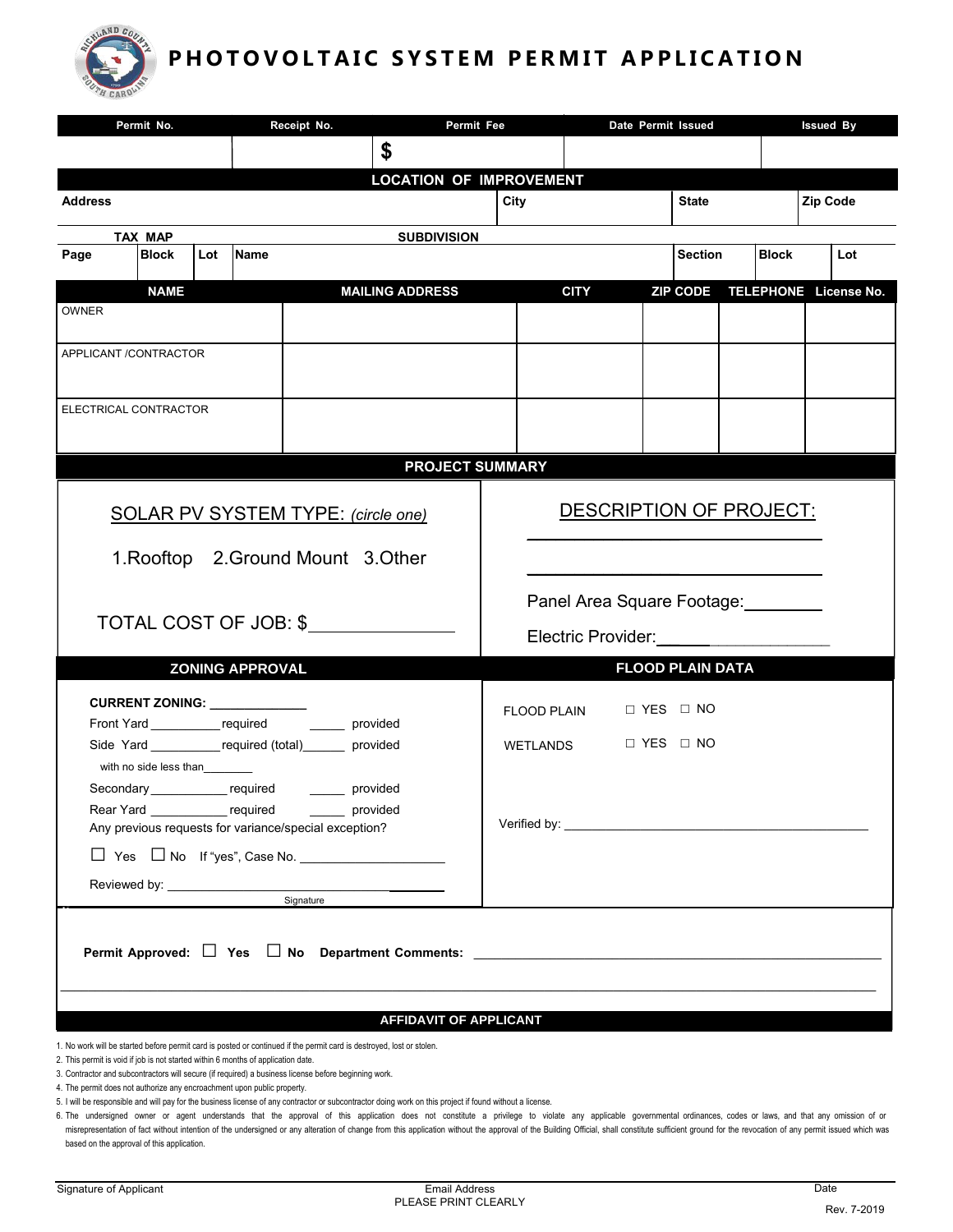

# PHOTOVOLTAIC SYSTEM PERMIT APPLICATION

| Permit No.                                                                                                                                                                                                                          |                                                       | Receipt No.<br>Permit Fee |                                |                                | Date Permit Issued |                         |                 |  |              |          | <b>Issued By</b>      |  |  |
|-------------------------------------------------------------------------------------------------------------------------------------------------------------------------------------------------------------------------------------|-------------------------------------------------------|---------------------------|--------------------------------|--------------------------------|--------------------|-------------------------|-----------------|--|--------------|----------|-----------------------|--|--|
|                                                                                                                                                                                                                                     |                                                       |                           | \$                             |                                |                    |                         |                 |  |              |          |                       |  |  |
|                                                                                                                                                                                                                                     |                                                       |                           | <b>LOCATION OF IMPROVEMENT</b> |                                |                    |                         |                 |  |              |          |                       |  |  |
| <b>Address</b>                                                                                                                                                                                                                      |                                                       |                           |                                |                                | City               |                         | <b>State</b>    |  |              | Zip Code |                       |  |  |
| TAX MAP                                                                                                                                                                                                                             | <b>SUBDIVISION</b>                                    |                           |                                |                                |                    |                         |                 |  |              |          |                       |  |  |
| <b>Block</b><br>Page                                                                                                                                                                                                                | <b>Name</b><br>Lot                                    |                           |                                |                                |                    |                         | <b>Section</b>  |  | <b>Block</b> |          | Lot                   |  |  |
| <b>NAME</b>                                                                                                                                                                                                                         |                                                       |                           | <b>MAILING ADDRESS</b>         |                                | <b>CITY</b>        |                         | <b>ZIP CODE</b> |  |              |          | TELEPHONE License No. |  |  |
| <b>OWNER</b>                                                                                                                                                                                                                        |                                                       |                           |                                |                                |                    |                         |                 |  |              |          |                       |  |  |
|                                                                                                                                                                                                                                     |                                                       |                           |                                |                                |                    |                         |                 |  |              |          |                       |  |  |
| APPLICANT /CONTRACTOR                                                                                                                                                                                                               |                                                       |                           |                                |                                |                    |                         |                 |  |              |          |                       |  |  |
|                                                                                                                                                                                                                                     |                                                       |                           |                                |                                |                    |                         |                 |  |              |          |                       |  |  |
| ELECTRICAL CONTRACTOR                                                                                                                                                                                                               |                                                       |                           |                                |                                |                    |                         |                 |  |              |          |                       |  |  |
|                                                                                                                                                                                                                                     |                                                       |                           |                                |                                |                    |                         |                 |  |              |          |                       |  |  |
| <b>PROJECT SUMMARY</b>                                                                                                                                                                                                              |                                                       |                           |                                |                                |                    |                         |                 |  |              |          |                       |  |  |
|                                                                                                                                                                                                                                     |                                                       |                           |                                |                                |                    |                         |                 |  |              |          |                       |  |  |
| SOLAR PV SYSTEM TYPE: (circle one)                                                                                                                                                                                                  |                                                       |                           |                                | <b>DESCRIPTION OF PROJECT:</b> |                    |                         |                 |  |              |          |                       |  |  |
|                                                                                                                                                                                                                                     |                                                       |                           |                                |                                |                    |                         |                 |  |              |          |                       |  |  |
| 1. Rooftop 2. Ground Mount 3. Other                                                                                                                                                                                                 |                                                       |                           |                                |                                |                    |                         |                 |  |              |          |                       |  |  |
|                                                                                                                                                                                                                                     |                                                       |                           |                                | Panel Area Square Footage:     |                    |                         |                 |  |              |          |                       |  |  |
| TOTAL COST OF JOB: \$                                                                                                                                                                                                               |                                                       |                           |                                |                                |                    |                         |                 |  |              |          |                       |  |  |
|                                                                                                                                                                                                                                     |                                                       |                           |                                | Electric Provider:             |                    |                         |                 |  |              |          |                       |  |  |
|                                                                                                                                                                                                                                     | <b>ZONING APPROVAL</b>                                |                           |                                |                                |                    | <b>FLOOD PLAIN DATA</b> |                 |  |              |          |                       |  |  |
| CURRENT ZONING: ____________                                                                                                                                                                                                        |                                                       |                           |                                | □ YES □ NO<br>FLOOD PLAIN      |                    |                         |                 |  |              |          |                       |  |  |
|                                                                                                                                                                                                                                     | Front Yard ______________required __________ provided |                           |                                |                                |                    | □ YES □ NO              |                 |  |              |          |                       |  |  |
| Side Yard _____________ required (total)_______ provided<br>with no side less than                                                                                                                                                  |                                                       |                           |                                |                                | WETLANDS           |                         |                 |  |              |          |                       |  |  |
| Secondary______________required                                                                                                                                                                                                     |                                                       | provided                  |                                |                                |                    |                         |                 |  |              |          |                       |  |  |
| Rear Yard ______________ required ________ provided                                                                                                                                                                                 |                                                       |                           |                                |                                |                    |                         |                 |  |              |          |                       |  |  |
| Any previous requests for variance/special exception?                                                                                                                                                                               |                                                       |                           |                                |                                |                    |                         |                 |  |              |          |                       |  |  |
|                                                                                                                                                                                                                                     |                                                       |                           |                                |                                |                    |                         |                 |  |              |          |                       |  |  |
| Signature                                                                                                                                                                                                                           |                                                       |                           |                                |                                |                    |                         |                 |  |              |          |                       |  |  |
|                                                                                                                                                                                                                                     |                                                       |                           |                                |                                |                    |                         |                 |  |              |          |                       |  |  |
| Permit Approved: $\Box$ Yes $\Box$ No Department Comments: $\Box$ Decrees the contract of the contract of the contract of the contract of the contract of the contract of the contract of the contract of the contract of the contr |                                                       |                           |                                |                                |                    |                         |                 |  |              |          |                       |  |  |
|                                                                                                                                                                                                                                     |                                                       |                           |                                |                                |                    |                         |                 |  |              |          |                       |  |  |
|                                                                                                                                                                                                                                     |                                                       |                           |                                |                                |                    |                         |                 |  |              |          |                       |  |  |
|                                                                                                                                                                                                                                     |                                                       |                           | <b>AFFIDAVIT OF APPLICANT</b>  |                                |                    |                         |                 |  |              |          |                       |  |  |
| 1. No work will be started before permit card is posted or continued if the permit card is destroyed, lost or stolen.                                                                                                               |                                                       |                           |                                |                                |                    |                         |                 |  |              |          |                       |  |  |

2. This permit is void if job is not started within 6 months of application date.

3. Contractor and subcontractors will secure (if required) a business license before beginning work.

4. The permit does not authorize any encroachment upon public property.

5. I will be responsible and will pay for the business license of any contractor or subcontractor doing work on this project if found without a license.

6. The undersigned owner or agent understands that the approval of this application does not constitute a privilege to violate any applicable governmental ordinances, codes or laws, and that any omission of or misrepresentation of fact without intention of the undersigned or any alteration of change from this application without the approval of the Building Official, shall constitute sufficient ground for the revocation of any p based on the approval of this application.